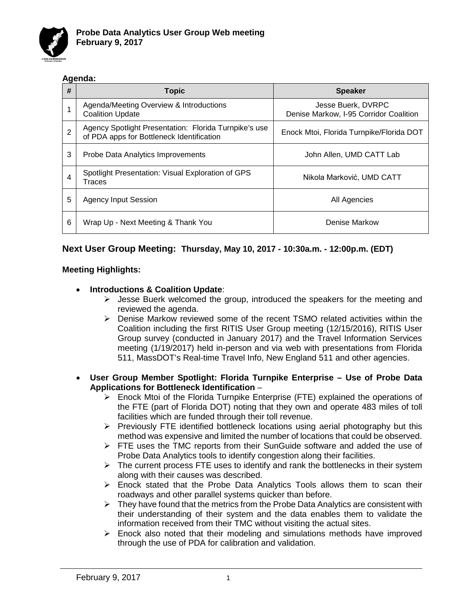

### **Agenda:**

| #              | <b>Topic</b>                                                                                       | <b>Speaker</b>                                               |
|----------------|----------------------------------------------------------------------------------------------------|--------------------------------------------------------------|
|                | Agenda/Meeting Overview & Introductions<br><b>Coalition Update</b>                                 | Jesse Buerk, DVRPC<br>Denise Markow, I-95 Corridor Coalition |
| $\overline{2}$ | Agency Spotlight Presentation: Florida Turnpike's use<br>of PDA apps for Bottleneck Identification | Enock Mtoi, Florida Turnpike/Florida DOT                     |
| 3              | Probe Data Analytics Improvements                                                                  | John Allen, UMD CATT Lab                                     |
| 4              | Spotlight Presentation: Visual Exploration of GPS<br>Traces                                        | Nikola Marković, UMD CATT                                    |
| 5              | Agency Input Session                                                                               | All Agencies                                                 |
| 6              | Wrap Up - Next Meeting & Thank You                                                                 | Denise Markow                                                |

# **Next User Group Meeting: Thursday, May 10, 2017 - 10:30a.m. - 12:00p.m. (EDT)**

### **Meeting Highlights:**

## • **Introductions & Coalition Update**:

- $\triangleright$  Jesse Buerk welcomed the group, introduced the speakers for the meeting and reviewed the agenda.
- Denise Markow reviewed some of the recent TSMO related activities within the Coalition including the first RITIS User Group meeting (12/15/2016), RITIS User Group survey (conducted in January 2017) and the Travel Information Services meeting (1/19/2017) held in-person and via web with presentations from Florida 511, MassDOT's Real-time Travel Info, New England 511 and other agencies.

#### • **User Group Member Spotlight: Florida Turnpike Enterprise – Use of Probe Data Applications for Bottleneck Identification** –

- $\triangleright$  Enock Mtoi of the Florida Turnpike Enterprise (FTE) explained the operations of the FTE (part of Florida DOT) noting that they own and operate 483 miles of toll facilities which are funded through their toll revenue.
- $\triangleright$  Previously FTE identified bottleneck locations using aerial photography but this method was expensive and limited the number of locations that could be observed.
- $\triangleright$  FTE uses the TMC reports from their SunGuide software and added the use of Probe Data Analytics tools to identify congestion along their facilities.
- $\triangleright$  The current process FTE uses to identify and rank the bottlenecks in their system along with their causes was described.
- $\triangleright$  Enock stated that the Probe Data Analytics Tools allows them to scan their roadways and other parallel systems quicker than before.
- $\triangleright$  They have found that the metrics from the Probe Data Analytics are consistent with their understanding of their system and the data enables them to validate the information received from their TMC without visiting the actual sites.
- $\triangleright$  Enock also noted that their modeling and simulations methods have improved through the use of PDA for calibration and validation.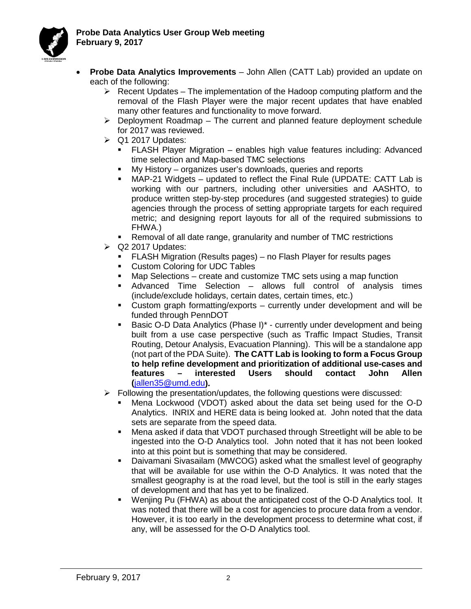

- **Probe Data Analytics Improvements**  John Allen (CATT Lab) provided an update on each of the following:
	- $\triangleright$  Recent Updates The implementation of the Hadoop computing platform and the removal of the Flash Player were the major recent updates that have enabled many other features and functionality to move forward.
	- $\triangleright$  Deployment Roadmap The current and planned feature deployment schedule for 2017 was reviewed.
	- $\triangleright$  Q1 2017 Updates:
		- FLASH Player Migration enables high value features including: Advanced time selection and Map-based TMC selections
		- My History organizes user's downloads, queries and reports
		- MAP-21 Widgets updated to reflect the Final Rule (UPDATE: CATT Lab is working with our partners, including other universities and AASHTO, to produce written step-by-step procedures (and suggested strategies) to guide agencies through the process of setting appropriate targets for each required metric; and designing report layouts for all of the required submissions to FHWA.)
		- Removal of all date range, granularity and number of TMC restrictions
	- $\triangleright$  Q2 2017 Updates:
		- FLASH Migration (Results pages) no Flash Player for results pages
		- **Custom Coloring for UDC Tables**
		- Map Selections create and customize TMC sets using a map function
		- Advanced Time Selection allows full control of analysis times (include/exclude holidays, certain dates, certain times, etc.)
		- Custom graph formatting/exports currently under development and will be funded through PennDOT
		- **Basic O-D Data Analytics (Phase I)\* currently under development and being** built from a use case perspective (such as Traffic Impact Studies, Transit Routing, Detour Analysis, Evacuation Planning). This will be a standalone app (not part of the PDA Suite). **The CATT Lab is looking to form a Focus Group to help refine development and prioritization of additional use-cases and features – interested Users should contact John Allen (**[jallen35@umd.edu](mailto:jallen35@umd.edu)**).**
	- $\triangleright$  Following the presentation/updates, the following questions were discussed:
		- Mena Lockwood (VDOT) asked about the data set being used for the O-D Analytics. INRIX and HERE data is being looked at. John noted that the data sets are separate from the speed data.
		- Mena asked if data that VDOT purchased through Streetlight will be able to be ingested into the O-D Analytics tool. John noted that it has not been looked into at this point but is something that may be considered.
		- Daivamani Sivasailam (MWCOG) asked what the smallest level of geography that will be available for use within the O-D Analytics. It was noted that the smallest geography is at the road level, but the tool is still in the early stages of development and that has yet to be finalized.
		- Wenjing Pu (FHWA) as about the anticipated cost of the O-D Analytics tool. It was noted that there will be a cost for agencies to procure data from a vendor. However, it is too early in the development process to determine what cost, if any, will be assessed for the O-D Analytics tool.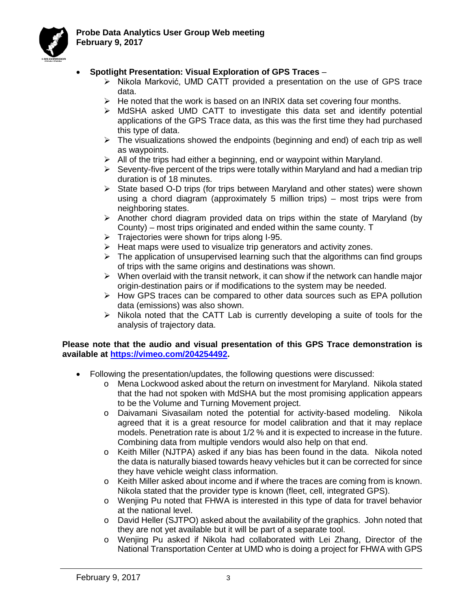

## • **Spotlight Presentation: Visual Exploration of GPS Traces** –

- $\triangleright$  Nikola Marković, UMD CATT provided a presentation on the use of GPS trace data.
- $\triangleright$  He noted that the work is based on an INRIX data set covering four months.
- $\triangleright$  MdSHA asked UMD CATT to investigate this data set and identify potential applications of the GPS Trace data, as this was the first time they had purchased this type of data.
- $\triangleright$  The visualizations showed the endpoints (beginning and end) of each trip as well as waypoints.
- $\triangleright$  All of the trips had either a beginning, end or waypoint within Maryland.
- $\triangleright$  Seventy-five percent of the trips were totally within Maryland and had a median trip duration is of 18 minutes.
- $\triangleright$  State based O-D trips (for trips between Maryland and other states) were shown using a chord diagram (approximately 5 million trips) – most trips were from neighboring states.
- $\triangleright$  Another chord diagram provided data on trips within the state of Maryland (by County) – most trips originated and ended within the same county. T
- $\triangleright$  Trajectories were shown for trips along I-95.
- $\triangleright$  Heat maps were used to visualize trip generators and activity zones.
- $\triangleright$  The application of unsupervised learning such that the algorithms can find groups of trips with the same origins and destinations was shown.
- $\triangleright$  When overlaid with the transit network, it can show if the network can handle major origin-destination pairs or if modifications to the system may be needed.
- $\triangleright$  How GPS traces can be compared to other data sources such as EPA pollution data (emissions) was also shown.
- $\triangleright$  Nikola noted that the CATT Lab is currently developing a suite of tools for the analysis of trajectory data.

#### **Please note that the audio and visual presentation of this GPS Trace demonstration is available at [https://vimeo.com/204254492.](https://vimeo.com/204254492)**

- Following the presentation/updates, the following questions were discussed:
	- o Mena Lockwood asked about the return on investment for Maryland. Nikola stated that the had not spoken with MdSHA but the most promising application appears to be the Volume and Turning Movement project.
	- o Daivamani Sivasailam noted the potential for activity-based modeling. Nikola agreed that it is a great resource for model calibration and that it may replace models. Penetration rate is about 1/2 % and it is expected to increase in the future. Combining data from multiple vendors would also help on that end.
	- o Keith Miller (NJTPA) asked if any bias has been found in the data. Nikola noted the data is naturally biased towards heavy vehicles but it can be corrected for since they have vehicle weight class information.
	- $\circ$  Keith Miller asked about income and if where the traces are coming from is known. Nikola stated that the provider type is known (fleet, cell, integrated GPS).
	- o Wenjing Pu noted that FHWA is interested in this type of data for travel behavior at the national level.
	- o David Heller (SJTPO) asked about the availability of the graphics. John noted that they are not yet available but it will be part of a separate tool.
	- o Wenjing Pu asked if Nikola had collaborated with Lei Zhang, Director of the National Transportation Center at UMD who is doing a project for FHWA with GPS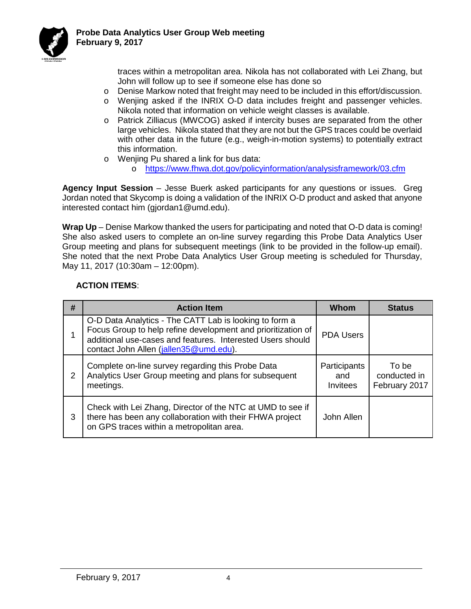

traces within a metropolitan area. Nikola has not collaborated with Lei Zhang, but John will follow up to see if someone else has done so

- o Denise Markow noted that freight may need to be included in this effort/discussion.
- o Wenjing asked if the INRIX O-D data includes freight and passenger vehicles. Nikola noted that information on vehicle weight classes is available.
- o Patrick Zilliacus (MWCOG) asked if intercity buses are separated from the other large vehicles. Nikola stated that they are not but the GPS traces could be overlaid with other data in the future (e.g., weigh-in-motion systems) to potentially extract this information.
- o Wenjing Pu shared a link for bus data:
	- o <https://www.fhwa.dot.gov/policyinformation/analysisframework/03.cfm>

**Agency Input Session** – Jesse Buerk asked participants for any questions or issues. Greg Jordan noted that Skycomp is doing a validation of the INRIX O-D product and asked that anyone interested contact him (gjordan1@umd.edu).

**Wrap Up** – Denise Markow thanked the users for participating and noted that O-D data is coming! She also asked users to complete an on-line survey regarding this Probe Data Analytics User Group meeting and plans for subsequent meetings (link to be provided in the follow-up email). She noted that the next Probe Data Analytics User Group meeting is scheduled for Thursday, May 11, 2017 (10:30am – 12:00pm).

### **ACTION ITEMS**:

| #              | <b>Action Item</b>                                                                                                                                                                                                                | Whom                            | <b>Status</b>                          |
|----------------|-----------------------------------------------------------------------------------------------------------------------------------------------------------------------------------------------------------------------------------|---------------------------------|----------------------------------------|
|                | O-D Data Analytics - The CATT Lab is looking to form a<br>Focus Group to help refine development and prioritization of<br>additional use-cases and features. Interested Users should<br>contact John Allen (jallen 35 @ umd.edu). | <b>PDA Users</b>                |                                        |
| $\overline{2}$ | Complete on-line survey regarding this Probe Data<br>Analytics User Group meeting and plans for subsequent<br>meetings.                                                                                                           | Participants<br>and<br>Invitees | To be<br>conducted in<br>February 2017 |
| 3              | Check with Lei Zhang, Director of the NTC at UMD to see if<br>there has been any collaboration with their FHWA project<br>on GPS traces within a metropolitan area.                                                               | John Allen                      |                                        |